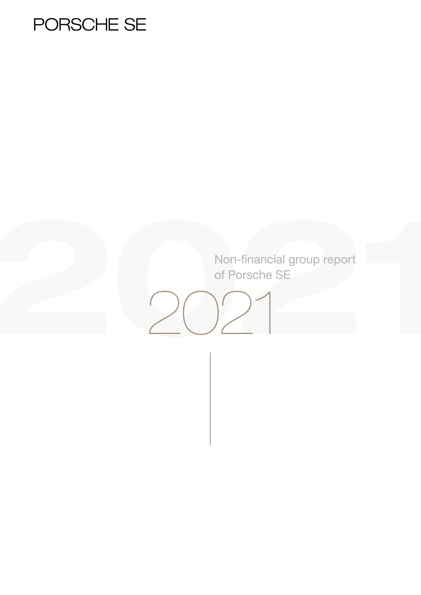# PORSCHE SE

Non-financial group report of Porsche SE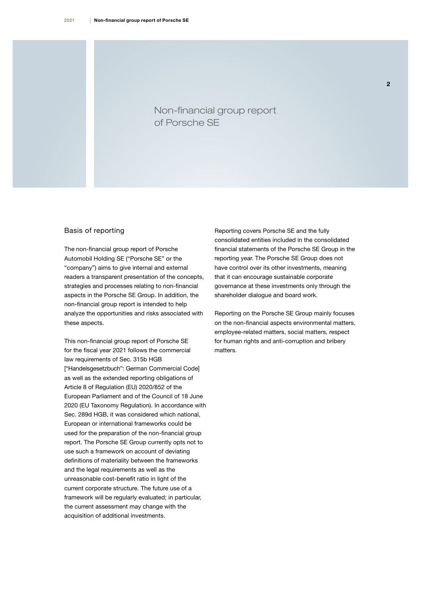Basis of reporting

Non-financial group report

The non-financial group report of Porsche Automobil Holding SE ("Porsche SE" or the "company") aims to give internal and external readers a transparent presentation of the concepts, strategies and processes relating to non-financial aspects in the Porsche SE Group. In addition, the non-financial group report is intended to help analyze the opportunities and risks associated with these aspects.

This non-financial group report of Porsche SE for the fiscal year 2021 follows the commercial law requirements of Sec. 315b HGB ["Handelsgesetzbuch": German Commercial Code] as well as the extended reporting obligations of Article 8 of Regulation (EU) 2020/852 of the European Parliament and of the Council of 18 June 2020 (EU Taxonomy Regulation). In accordance with Sec. 289d HGB, it was considered which national, European or international frameworks could be used for the preparation of the non-financial group report. The Porsche SE Group currently opts not to use such a framework on account of deviating definitions of materiality between the frameworks and the legal requirements as well as the unreasonable cost-benefit ratio in light of the current corporate structure. The future use of a framework will be regularly evaluated; in particular, the current assessment may change with the acquisition of additional investments.

Reporting covers Porsche SE and the fully consolidated entities included in the consolidated financial statements of the Porsche SE Group in the reporting year. The Porsche SE Group does not have control over its other investments, meaning that it can encourage sustainable corporate governance at these investments only through the shareholder dialogue and board work.

Reporting on the Porsche SE Group mainly focuses on the non-financial aspects environmental matters, employee-related matters, social matters, respect for human rights and anti-corruption and bribery matters.

 $\overline{2}$ 

## Non-financial group report of Porsche SE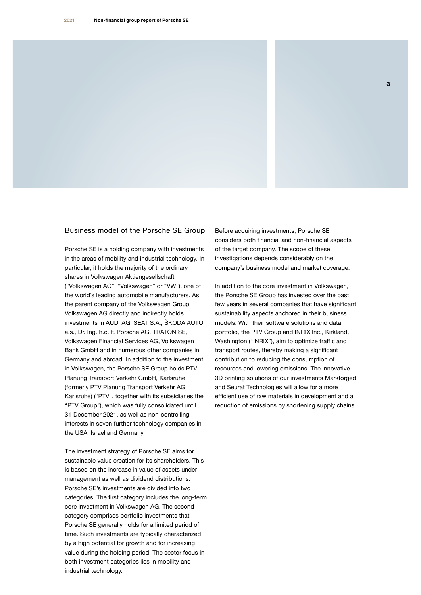#### Business model of the Porsche SE Group

Porsche SE is a holding company with investments in the areas of mobility and industrial technology. In particular, it holds the majority of the ordinary shares in Volkswagen Aktiengesellschaft ("Volkswagen AG", "Volkswagen" or "VW"), one of the world's leading automobile manufacturers. As the parent company of the Volkswagen Group, Volkswagen AG directly and indirectly holds investments in AUDI AG, SEAT S.A., ŠKODA AUTO a.s., Dr. Ing. h.c. F. Porsche AG, TRATON SE, Volkswagen Financial Services AG, Volkswagen Bank GmbH and in numerous other companies in Germany and abroad. In addition to the investment in Volkswagen, the Porsche SE Group holds PTV Planung Transport Verkehr GmbH, Karlsruhe (formerly PTV Planung Transport Verkehr AG, Karlsruhe) ("PTV", together with its subsidiaries the "PTV Group"), which was fully consolidated until 31 December 2021, as well as non-controlling interests in seven further technology companies in the USA, Israel and Germany.

The investment strategy of Porsche SE aims for sustainable value creation for its shareholders. This is based on the increase in value of assets under management as well as dividend distributions. Porsche SE's investments are divided into two categories. The first category includes the long-term core investment in Volkswagen AG. The second category comprises portfolio investments that Porsche SE generally holds for a limited period of time. Such investments are typically characterized by a high potential for growth and for increasing value during the holding period. The sector focus in both investment categories lies in mobility and industrial technology.

Before acquiring investments, Porsche SE considers both financial and non-financial aspects of the target company. The scope of these investigations depends considerably on the company's business model and market coverage.

In addition to the core investment in Volkswagen, the Porsche SE Group has invested over the past few years in several companies that have significant sustainability aspects anchored in their business models. With their software solutions and data portfolio, the PTV Group and INRIX Inc., Kirkland, Washington ("INRIX"), aim to optimize traffic and transport routes, thereby making a significant contribution to reducing the consumption of resources and lowering emissions. The innovative 3D printing solutions of our investments Markforged and Seurat Technologies will allow for a more efficient use of raw materials in development and a reduction of emissions by shortening supply chains.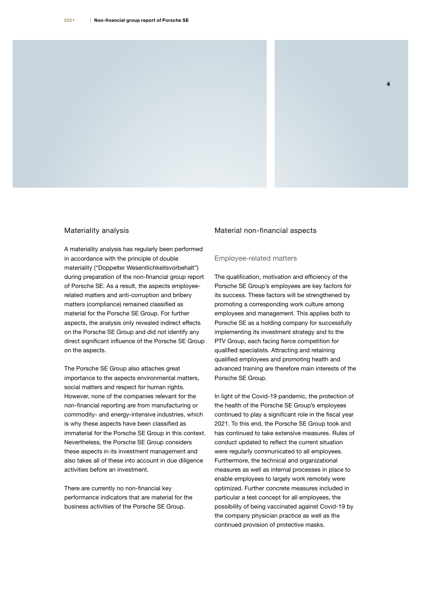#### Materiality analysis

A materiality analysis has regularly been performed in accordance with the principle of double materiality ("Doppelter Wesentlichkeitsvorbehalt") during preparation of the non-financial group report of Porsche SE. As a result, the aspects employeerelated matters and anti-corruption and bribery matters (compliance) remained classified as material for the Porsche SE Group. For further aspects, the analysis only revealed indirect effects on the Porsche SE Group and did not identify any direct significant influence of the Porsche SE Group on the aspects.

The Porsche SE Group also attaches great importance to the aspects environmental matters, social matters and respect for human rights. However, none of the companies relevant for the non-financial reporting are from manufacturing or commodity- and energy-intensive industries, which is why these aspects have been classified as immaterial for the Porsche SE Group in this context. Nevertheless, the Porsche SE Group considers these aspects in its investment management and also takes all of these into account in due diligence activities before an investment.

There are currently no non-financial key performance indicators that are material for the business activities of the Porsche SE Group.

#### Material non-financial aspects

#### Employee-related matters

The qualification, motivation and efficiency of the Porsche SE Group's employees are key factors for its success. These factors will be strengthened by promoting a corresponding work culture among employees and management. This applies both to Porsche SE as a holding company for successfully implementing its investment strategy and to the PTV Group, each facing fierce competition for qualified specialists. Attracting and retaining qualified employees and promoting health and advanced training are therefore main interests of the Porsche SE Group.

4

In light of the Covid-19 pandemic, the protection of the health of the Porsche SE Group's employees continued to play a significant role in the fiscal year 2021. To this end, the Porsche SE Group took and has continued to take extensive measures. Rules of conduct updated to reflect the current situation were regularly communicated to all employees. Furthermore, the technical and organizational measures as well as internal processes in place to enable employees to largely work remotely were optimized. Further concrete measures included in particular a test concept for all employees, the possibility of being vaccinated against Covid-19 by the company physician practice as well as the continued provision of protective masks.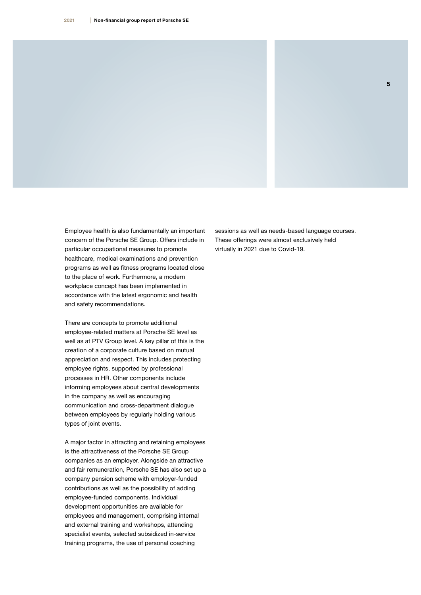Employee health is also fundamentally an important concern of the Porsche SE Group. Offers include in particular occupational measures to promote healthcare, medical examinations and prevention programs as well as fitness programs located close to the place of work. Furthermore, a modern workplace concept has been implemented in accordance with the latest ergonomic and health and safety recommendations.

There are concepts to promote additional employee-related matters at Porsche SE level as well as at PTV Group level. A key pillar of this is the creation of a corporate culture based on mutual appreciation and respect. This includes protecting employee rights, supported by professional processes in HR. Other components include informing employees about central developments in the company as well as encouraging communication and cross-department dialogue between employees by regularly holding various types of joint events.

A major factor in attracting and retaining employees is the attractiveness of the Porsche SE Group companies as an employer. Alongside an attractive and fair remuneration, Porsche SE has also set up a company pension scheme with employer-funded contributions as well as the possibility of adding employee-funded components. Individual development opportunities are available for employees and management, comprising internal and external training and workshops, attending specialist events, selected subsidized in-service training programs, the use of personal coaching

sessions as well as needs-based language courses. These offerings were almost exclusively held virtually in 2021 due to Covid-19.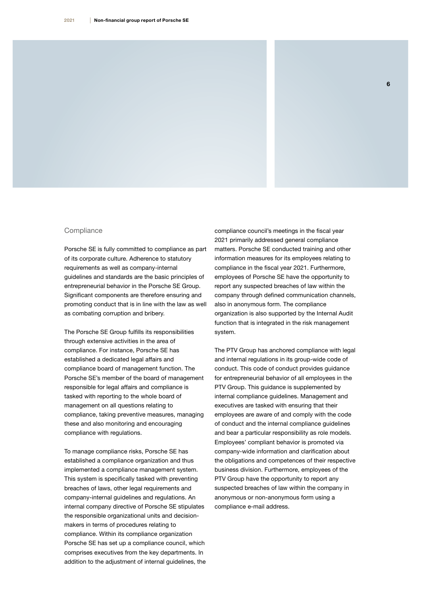#### **Compliance**

Porsche SE is fully committed to compliance as part of its corporate culture. Adherence to statutory requirements as well as company-internal guidelines and standards are the basic principles of entrepreneurial behavior in the Porsche SE Group. Significant components are therefore ensuring and promoting conduct that is in line with the law as well as combating corruption and bribery.

The Porsche SE Group fulfills its responsibilities through extensive activities in the area of compliance. For instance, Porsche SE has established a dedicated legal affairs and compliance board of management function. The Porsche SE's member of the board of management responsible for legal affairs and compliance is tasked with reporting to the whole board of management on all questions relating to compliance, taking preventive measures, managing these and also monitoring and encouraging compliance with regulations.

To manage compliance risks, Porsche SE has established a compliance organization and thus implemented a compliance management system. This system is specifically tasked with preventing breaches of laws, other legal requirements and company-internal guidelines and regulations. An internal company directive of Porsche SE stipulates the responsible organizational units and decisionmakers in terms of procedures relating to compliance. Within its compliance organization Porsche SE has set up a compliance council, which comprises executives from the key departments. In addition to the adjustment of internal guidelines, the compliance council's meetings in the fiscal year 2021 primarily addressed general compliance matters. Porsche SE conducted training and other information measures for its employees relating to compliance in the fiscal year 2021. Furthermore, employees of Porsche SE have the opportunity to report any suspected breaches of law within the company through defined communication channels, also in anonymous form. The compliance organization is also supported by the Internal Audit function that is integrated in the risk management system.

The PTV Group has anchored compliance with legal and internal regulations in its group-wide code of conduct. This code of conduct provides guidance for entrepreneurial behavior of all employees in the PTV Group. This guidance is supplemented by internal compliance guidelines. Management and executives are tasked with ensuring that their employees are aware of and comply with the code of conduct and the internal compliance guidelines and bear a particular responsibility as role models. Employees' compliant behavior is promoted via company-wide information and clarification about the obligations and competences of their respective business division. Furthermore, employees of the PTV Group have the opportunity to report any suspected breaches of law within the company in anonymous or non-anonymous form using a compliance e-mail address.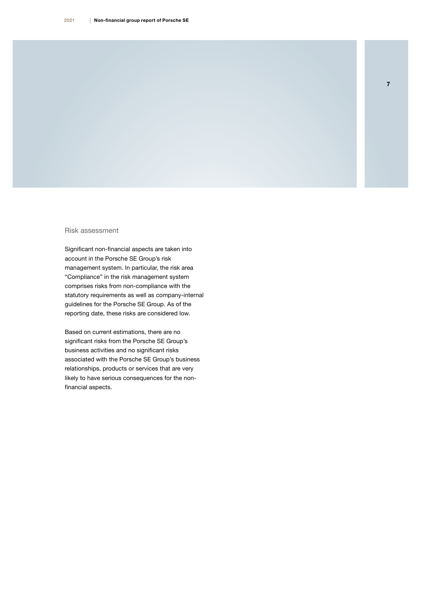#### Risk assessment

Significant non-financial aspects are taken into account in the Porsche SE Group's risk management system. In particular, the risk area "Compliance" in the risk management system comprises risks from non-compliance with the statutory requirements as well as company-internal guidelines for the Porsche SE Group. As of the reporting date, these risks are considered low.

Based on current estimations, there are no significant risks from the Porsche SE Group's business activities and no significant risks associated with the Porsche SE Group's business relationships, products or services that are very likely to have serious consequences for the nonfinancial aspects.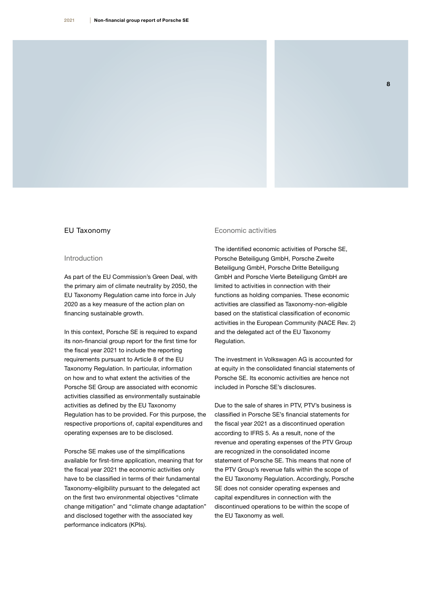#### EU Taxonomy

#### Introduction

As part of the EU Commission's Green Deal, with the primary aim of climate neutrality by 2050, the EU Taxonomy Regulation came into force in July 2020 as a key measure of the action plan on financing sustainable growth.

In this context, Porsche SE is required to expand its non-financial group report for the first time for the fiscal year 2021 to include the reporting requirements pursuant to Article 8 of the EU Taxonomy Regulation. In particular, information on how and to what extent the activities of the Porsche SE Group are associated with economic activities classified as environmentally sustainable activities as defined by the EU Taxonomy Regulation has to be provided. For this purpose, the respective proportions of, capital expenditures and operating expenses are to be disclosed.

Porsche SE makes use of the simplifications available for first-time application, meaning that for the fiscal year 2021 the economic activities only have to be classified in terms of their fundamental Taxonomy-eligibility pursuant to the delegated act on the first two environmental objectives "climate change mitigation" and "climate change adaptation" and disclosed together with the associated key performance indicators (KPIs).

#### Economic activities

The identified economic activities of Porsche SE, Porsche Beteiligung GmbH, Porsche Zweite Beteiligung GmbH, Porsche Dritte Beteiligung GmbH and Porsche Vierte Beteiligung GmbH are limited to activities in connection with their functions as holding companies. These economic activities are classified as Taxonomy-non-eligible based on the statistical classification of economic activities in the European Community (NACE Rev. 2) and the delegated act of the EU Taxonomy Regulation.

The investment in Volkswagen AG is accounted for at equity in the consolidated financial statements of Porsche SE. Its economic activities are hence not included in Porsche SE's disclosures.

Due to the sale of shares in PTV, PTV's business is classified in Porsche SE's financial statements for the fiscal year 2021 as a discontinued operation according to IFRS 5. As a result, none of the revenue and operating expenses of the PTV Group are recognized in the consolidated income statement of Porsche SE. This means that none of the PTV Group's revenue falls within the scope of the EU Taxonomy Regulation. Accordingly, Porsche SE does not consider operating expenses and capital expenditures in connection with the discontinued operations to be within the scope of the EU Taxonomy as well.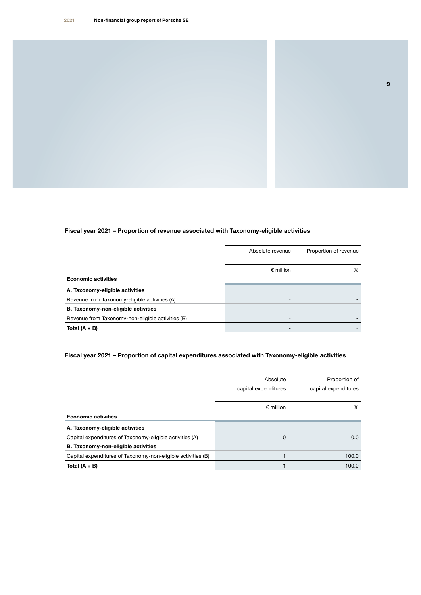### Fiscal year 2021 – Proportion of revenue associated with Taxonomy-eligible activities

|                                                   | Absolute revenue   | Proportion of revenue |
|---------------------------------------------------|--------------------|-----------------------|
|                                                   |                    |                       |
|                                                   | $\epsilon$ million | %                     |
| <b>Economic activities</b>                        |                    |                       |
| A. Taxonomy-eligible activities                   |                    |                       |
| Revenue from Taxonomy-eligible activities (A)     |                    |                       |
| B. Taxonomy-non-eligible activities               |                    |                       |
| Revenue from Taxonomy-non-eligible activities (B) |                    |                       |
| Total $(A + B)$                                   |                    |                       |

### Fiscal year 2021 – Proportion of capital expenditures associated with Taxonomy-eligible activities

|                                                              | Absolute             | Proportion of        |
|--------------------------------------------------------------|----------------------|----------------------|
|                                                              | capital expenditures | capital expenditures |
|                                                              |                      |                      |
|                                                              | $\epsilon$ million   | %                    |
| <b>Economic activities</b>                                   |                      |                      |
| A. Taxonomy-eligible activities                              |                      |                      |
| Capital expenditures of Taxonomy-eligible activities (A)     | 0                    | 0.0                  |
| B. Taxonomy-non-eligible activities                          |                      |                      |
| Capital expenditures of Taxonomy-non-eligible activities (B) |                      | 100.0                |
| Total $(A + B)$                                              |                      | 100.0                |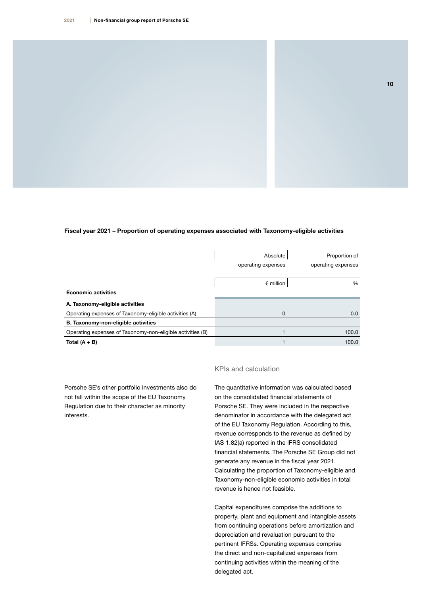#### Fiscal year 2021 – Proportion of operating expenses associated with Taxonomy-eligible activities

|                                                            | Absolute           | Proportion of      |
|------------------------------------------------------------|--------------------|--------------------|
|                                                            | operating expenses | operating expenses |
|                                                            |                    |                    |
|                                                            | $\epsilon$ million | $\%$               |
| <b>Economic activities</b>                                 |                    |                    |
| A. Taxonomy-eligible activities                            |                    |                    |
| Operating expenses of Taxonomy-eligible activities (A)     | 0                  | 0.0                |
| B. Taxonomy-non-eligible activities                        |                    |                    |
| Operating expenses of Taxonomy-non-eligible activities (B) |                    | 100.0              |
| Total $(A + B)$                                            |                    | 100.0              |

Porsche SE's other portfolio investments also do not fall within the scope of the EU Taxonomy Regulation due to their character as minority interests.

#### KPIs and calculation

The quantitative information was calculated based on the consolidated financial statements of Porsche SE. They were included in the respective denominator in accordance with the delegated act of the EU Taxonomy Regulation. According to this, revenue corresponds to the revenue as defined by IAS 1.82(a) reported in the IFRS consolidated financial statements. The Porsche SE Group did not generate any revenue in the fiscal year 2021. Calculating the proportion of Taxonomy-eligible and Taxonomy-non-eligible economic activities in total revenue is hence not feasible.

Capital expenditures comprise the additions to property, plant and equipment and intangible assets from continuing operations before amortization and depreciation and revaluation pursuant to the pertinent IFRSs. Operating expenses comprise the direct and non-capitalized expenses from continuing activities within the meaning of the delegated act.